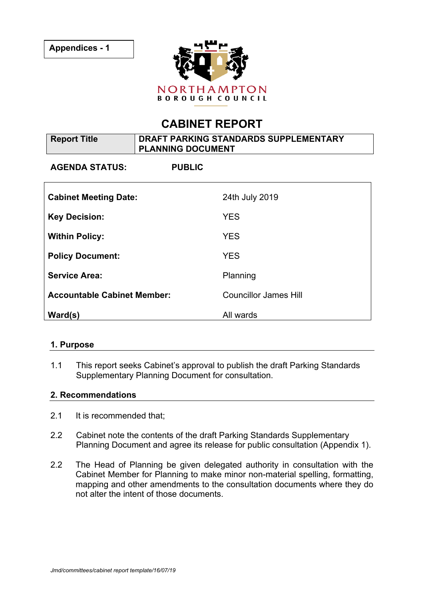

# **CABINET REPORT**

| <b>Report Title</b>                | DRAFT PARKING STANDARDS SUPPLEMENTARY<br><b>PLANNING DOCUMENT</b> |                              |
|------------------------------------|-------------------------------------------------------------------|------------------------------|
| <b>AGENDA STATUS:</b>              | <b>PUBLIC</b>                                                     |                              |
| <b>Cabinet Meeting Date:</b>       |                                                                   | 24th July 2019               |
| <b>Key Decision:</b>               |                                                                   | <b>YES</b>                   |
| <b>Within Policy:</b>              |                                                                   | <b>YES</b>                   |
| <b>Policy Document:</b>            |                                                                   | <b>YES</b>                   |
| <b>Service Area:</b>               |                                                                   | Planning                     |
| <b>Accountable Cabinet Member:</b> |                                                                   | <b>Councillor James Hill</b> |
| Ward(s)                            |                                                                   | All wards                    |

## **1. Purpose**

1.1 This report seeks Cabinet's approval to publish the draft Parking Standards Supplementary Planning Document for consultation.

## **2. Recommendations**

- 2.1 It is recommended that;
- 2.2 Cabinet note the contents of the draft Parking Standards Supplementary Planning Document and agree its release for public consultation (Appendix 1).
- 2.2 The Head of Planning be given delegated authority in consultation with the Cabinet Member for Planning to make minor non-material spelling, formatting, mapping and other amendments to the consultation documents where they do not alter the intent of those documents.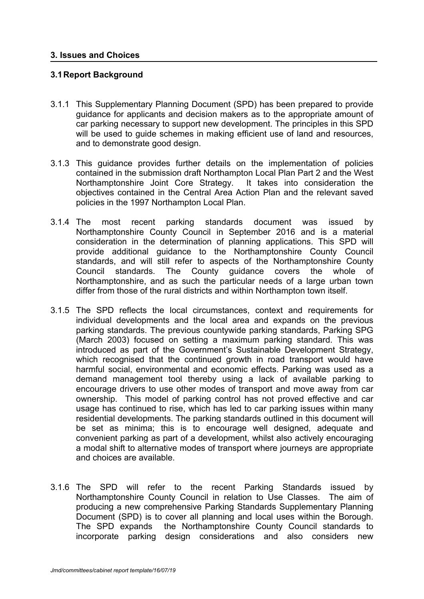#### **3. Issues and Choices**

## **3.1Report Background**

- 3.1.1 This Supplementary Planning Document (SPD) has been prepared to provide guidance for applicants and decision makers as to the appropriate amount of car parking necessary to support new development. The principles in this SPD will be used to guide schemes in making efficient use of land and resources, and to demonstrate good design.
- 3.1.3 This guidance provides further details on the implementation of policies contained in the submission draft Northampton Local Plan Part 2 and the West Northamptonshire Joint Core Strategy. It takes into consideration the objectives contained in the Central Area Action Plan and the relevant saved policies in the 1997 Northampton Local Plan.
- 3.1.4 The most recent parking standards document was issued by Northamptonshire County Council in September 2016 and is a material consideration in the determination of planning applications. This SPD will provide additional guidance to the Northamptonshire County Council standards, and will still refer to aspects of the Northamptonshire County Council standards. The County guidance covers the whole of Northamptonshire, and as such the particular needs of a large urban town differ from those of the rural districts and within Northampton town itself.
- 3.1.5 The SPD reflects the local circumstances, context and requirements for individual developments and the local area and expands on the previous parking standards. The previous countywide parking standards, Parking SPG (March 2003) focused on setting a maximum parking standard. This was introduced as part of the Government's Sustainable Development Strategy, which recognised that the continued growth in road transport would have harmful social, environmental and economic effects. Parking was used as a demand management tool thereby using a lack of available parking to encourage drivers to use other modes of transport and move away from car ownership. This model of parking control has not proved effective and car usage has continued to rise, which has led to car parking issues within many residential developments. The parking standards outlined in this document will be set as minima; this is to encourage well designed, adequate and convenient parking as part of a development, whilst also actively encouraging a modal shift to alternative modes of transport where journeys are appropriate and choices are available.
- 3.1.6 The SPD will refer to the recent Parking Standards issued by Northamptonshire County Council in relation to Use Classes. The aim of producing a new comprehensive Parking Standards Supplementary Planning Document (SPD) is to cover all planning and local uses within the Borough. The SPD expands the Northamptonshire County Council standards to incorporate parking design considerations and also considers new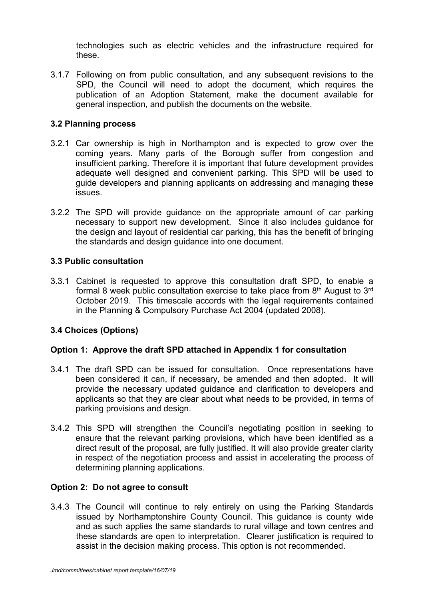technologies such as electric vehicles and the infrastructure required for these.

3.1.7 Following on from public consultation, and any subsequent revisions to the SPD, the Council will need to adopt the document, which requires the publication of an Adoption Statement, make the document available for general inspection, and publish the documents on the website.

## **3.2 Planning process**

- 3.2.1 Car ownership is high in Northampton and is expected to grow over the coming years. Many parts of the Borough suffer from congestion and insufficient parking. Therefore it is important that future development provides adequate well designed and convenient parking. This SPD will be used to guide developers and planning applicants on addressing and managing these issues.
- 3.2.2 The SPD will provide guidance on the appropriate amount of car parking necessary to support new development. Since it also includes guidance for the design and layout of residential car parking, this has the benefit of bringing the standards and design guidance into one document.

## **3.3 Public consultation**

3.3.1 Cabinet is requested to approve this consultation draft SPD, to enable a formal 8 week public consultation exercise to take place from  $8<sup>th</sup>$  August to  $3<sup>rd</sup>$ October 2019. This timescale accords with the legal requirements contained in the Planning & Compulsory Purchase Act 2004 (updated 2008).

# **3.4 Choices (Options)**

## **Option 1: Approve the draft SPD attached in Appendix 1 for consultation**

- 3.4.1 The draft SPD can be issued for consultation. Once representations have been considered it can, if necessary, be amended and then adopted. It will provide the necessary updated guidance and clarification to developers and applicants so that they are clear about what needs to be provided, in terms of parking provisions and design.
- 3.4.2 This SPD will strengthen the Council's negotiating position in seeking to ensure that the relevant parking provisions, which have been identified as a direct result of the proposal, are fully justified. It will also provide greater clarity in respect of the negotiation process and assist in accelerating the process of determining planning applications.

## **Option 2: Do not agree to consult**

3.4.3 The Council will continue to rely entirely on using the Parking Standards issued by Northamptonshire County Council. This guidance is county wide and as such applies the same standards to rural village and town centres and these standards are open to interpretation. Clearer justification is required to assist in the decision making process. This option is not recommended.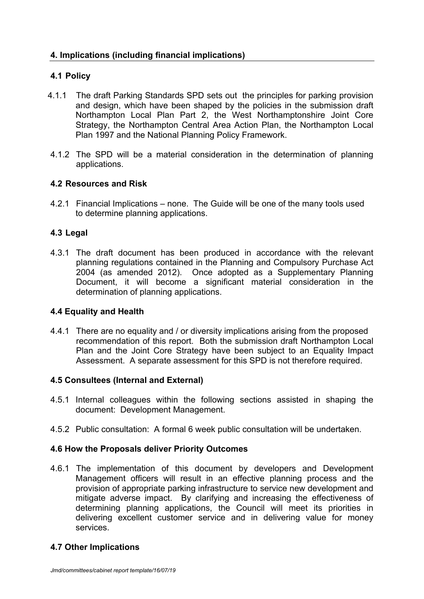# **4.1 Policy**

- 4.1.1 The draft Parking Standards SPD sets out the principles for parking provision and design, which have been shaped by the policies in the submission draft Northampton Local Plan Part 2, the West Northamptonshire Joint Core Strategy, the Northampton Central Area Action Plan, the Northampton Local Plan 1997 and the National Planning Policy Framework.
- 4.1.2 The SPD will be a material consideration in the determination of planning applications.

## **4.2 Resources and Risk**

4.2.1 Financial Implications – none. The Guide will be one of the many tools used to determine planning applications.

## **4.3 Legal**

4.3.1 The draft document has been produced in accordance with the relevant planning regulations contained in the Planning and Compulsory Purchase Act 2004 (as amended 2012). Once adopted as a Supplementary Planning Document, it will become a significant material consideration in the determination of planning applications.

## **4.4 Equality and Health**

4.4.1 There are no equality and / or diversity implications arising from the proposed recommendation of this report. Both the submission draft Northampton Local Plan and the Joint Core Strategy have been subject to an Equality Impact Assessment. A separate assessment for this SPD is not therefore required.

## **4.5 Consultees (Internal and External)**

- 4.5.1 Internal colleagues within the following sections assisted in shaping the document: Development Management.
- 4.5.2 Public consultation: A formal 6 week public consultation will be undertaken.

## **4.6 How the Proposals deliver Priority Outcomes**

4.6.1 The implementation of this document by developers and Development Management officers will result in an effective planning process and the provision of appropriate parking infrastructure to service new development and mitigate adverse impact. By clarifying and increasing the effectiveness of determining planning applications, the Council will meet its priorities in delivering excellent customer service and in delivering value for money services.

## **4.7 Other Implications**